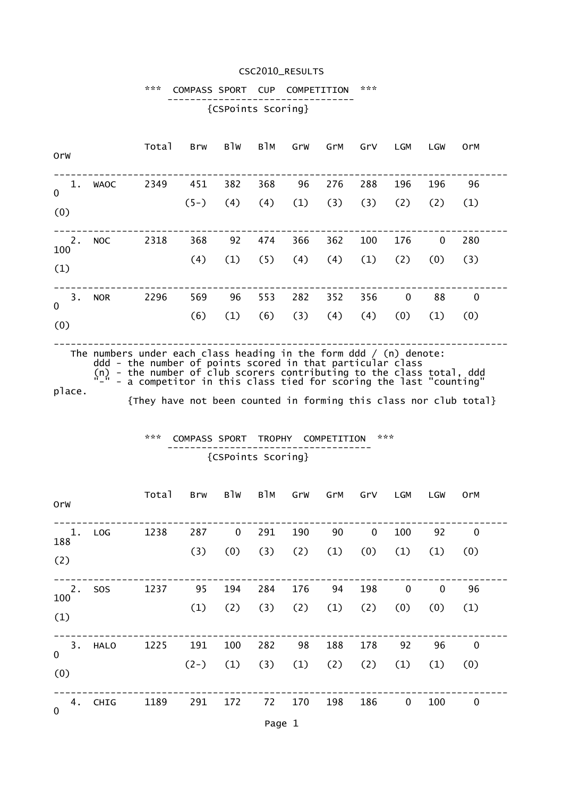### CSC2010\_RESULTS

#### \*\*\* COMPASS SPORT CUP COMPETITION \*\*\* --------------------------------- {CSPoints Scoring}

| Orw                      |             | Total | Brw           | B1W        | в1м        | GrW        | GrM        | GrV        | LGM                | LGW                | 0rM                |
|--------------------------|-------------|-------|---------------|------------|------------|------------|------------|------------|--------------------|--------------------|--------------------|
| 1.<br>$\mathbf 0$<br>(0) | <b>WAOC</b> | 2349  | 451<br>$(5-)$ | 382<br>(4) | 368<br>(4) | 96<br>(1)  | 276<br>(3) | 288<br>(3) | 196<br>(2)         | 196<br>(2)         | 96<br>(1)          |
| 2.<br>100<br>(1)         | <b>NOC</b>  | 2318  | 368<br>(4)    | 92<br>(1)  | 474<br>(5) | 366<br>(4) | 362<br>(4) | 100<br>(1) | 176<br>(2)         | $\mathbf 0$<br>(0) | 280<br>(3)         |
| 3.<br>$\mathbf 0$<br>(0) | <b>NOR</b>  | 2296  | 569<br>(6)    | 96<br>(1)  | 553<br>(6) | 282<br>(3) | 352<br>(4) | 356<br>(4) | $\mathbf 0$<br>(0) | 88<br>(1)          | $\mathbf 0$<br>(0) |

The numbers under each class heading in the form ddd / (n) denote: ddd - the number of points scored in that particular class (n) - the number of club scorers contributing to the class total, ddd "-" - a competitor in this class tied for scoring the last "counting"

place.

{They have not been counted in forming this class nor club total}

#### \*\*\* COMPASS SPORT TROPHY COMPETITION \*\*\* ------------------------------------ {CSPoints Scoring}

| OrW               |            | Total | <b>Brw</b> | B <sub>1</sub> <sub>W</sub> | в1м | GrW | GrM | GrV | <b>LGM</b> | <b>LGW</b> | <b>OrM</b>  |  |
|-------------------|------------|-------|------------|-----------------------------|-----|-----|-----|-----|------------|------------|-------------|--|
| 1.<br>188         | LOG        | 1238  | 287        | 0                           | 291 | 190 | 90  | 0   | 100        | 92         | $\mathbf 0$ |  |
| (2)               |            |       | (3)        | (0)                         | (3) | (2) | (1) | (0) | (1)        | (1)        | (0)         |  |
| 2.                | <b>SOS</b> | 1237  | 95         | 194                         | 284 | 176 | 94  | 198 | 0          | 0          | 96          |  |
| 100<br>(1)        |            |       | (1)        | (2)                         | (3) | (2) | (1) | (2) | (0)        | (0)        | (1)         |  |
| 3.<br>$\mathbf 0$ | HALO       | 1225  | 191        | 100                         | 282 | 98  | 188 | 178 | 92         | 96         | $\mathbf 0$ |  |
| (0)               |            |       | $(2-)$     | (1)                         | (3) | (1) | (2) | (2) | (1)        | (1)        | (0)         |  |
| 4.<br>$\mathbf 0$ | CHIG       | 1189  | 291        | 172                         | 72  | 170 | 198 | 186 | 0          | 100        | 0           |  |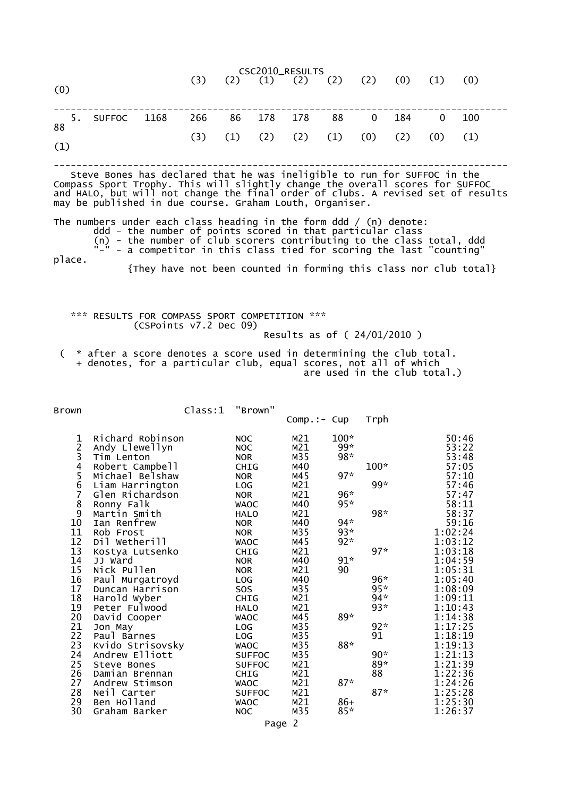| CSC2010_RESULTS |                                                                                                                                                           |             |  |     |     |                                                 |     |     |                |     |     |     |  |
|-----------------|-----------------------------------------------------------------------------------------------------------------------------------------------------------|-------------|--|-----|-----|-------------------------------------------------|-----|-----|----------------|-----|-----|-----|--|
| (0)             |                                                                                                                                                           |             |  | (3) |     | $(2)$ $(1)$ $(2)$ $(2)$ $(2)$ $(0)$ $(1)$ $(0)$ |     |     |                |     |     |     |  |
|                 | $88$ $5.$                                                                                                                                                 | SUFFOC 1168 |  | 266 | 86  | 178                                             | 178 | 88  | $\overline{0}$ | 184 |     | 100 |  |
| (1)             |                                                                                                                                                           |             |  | (3) | (1) | $(2)$ $(2)$                                     |     | (1) | (0)            | (2) | (0) | (1) |  |
|                 | Steve Bones has declared that he was ineligible to run for SUFFOC in the<br>Compass Sport Trophy. This will slightly change the overall scores for SUFFOC |             |  |     |     |                                                 |     |     |                |     |     |     |  |

and HALO, but will not change the final order of clubs. A revised set of results may be published in due course. Graham Louth, Organiser.

The numbers under each class heading in the form ddd / (n) denote: ddd - the number of points scored in that particular class

 (n) - the number of club scorers contributing to the class total, ddd "-" - a competitor in this class tied for scoring the last "counting" place.

{They have not been counted in forming this class nor club total}

 \*\*\* RESULTS FOR COMPASS SPORT COMPETITION \*\*\* (CSPoints v7.2 Dec 09) Results as of ( 24/01/2010 )

 ( \* after a score denotes a score used in determining the club total. + denotes, for a particular club, equal scores, not all of which are used in the club total.)

Brown Class:1 "Brown"

|             |                  |               | $Comp.:$ - $Cup$         |        | Trph   |         |
|-------------|------------------|---------------|--------------------------|--------|--------|---------|
| $\mathbf 1$ | Richard Robinson | <b>NOC</b>    | M <sub>21</sub>          | $100*$ |        | 50:46   |
|             | Andy Llewellyn   | <b>NOC</b>    | M21                      | 99*    |        | 53:22   |
|             | Tim Lenton       | <b>NOR</b>    | M35                      | $98*$  |        | 53:48   |
|             | Robert Campbell  | <b>CHIG</b>   | M40                      |        | $100*$ | 57:05   |
|             | Michael Belshaw  | <b>NOR</b>    | M45                      | $97*$  |        | 57:10   |
| 23456789    | Liam Harrington  | LOG           | M21                      |        | 99*    | 57:46   |
|             | Glen Richardson  | <b>NOR</b>    | M21                      | $96*$  |        | 57:47   |
|             | Ronny Falk       | <b>WAOC</b>   | M40                      | $95*$  |        | 58:11   |
|             | Martin Smith     | <b>HALO</b>   | M21                      |        | $98*$  | 58:37   |
| 10          | Ian Renfrew      | <b>NOR</b>    | M40                      | $94*$  |        | 59:16   |
| 11          | Rob Frost        | <b>NOR</b>    | M35                      | $93*$  |        | 1:02:24 |
| 12          | Dil Wetherill    | <b>WAOC</b>   | M45                      | $92*$  |        | 1:03:12 |
| 13          | Kostya Lutsenko  | <b>CHIG</b>   | M21                      |        | $97*$  | 1:03:18 |
| 14          | JJ Ward          | <b>NOR</b>    | M40                      | $91*$  |        | 1:04:59 |
| 15          | Nick Pullen      | <b>NOR</b>    | M <sub>21</sub>          | 90     |        | 1:05:31 |
| 16          | Paul Murgatroyd  | LOG           | M40                      |        | $96*$  | 1:05:40 |
| 17          | Duncan Harrison  | <b>SOS</b>    | M35                      |        | $95*$  | 1:08:09 |
| 18          | Harold Wyber     | CHIG          | M21                      |        | $94*$  | 1:09:11 |
| 19          | Peter Fulwood    | <b>HALO</b>   | M21                      |        | $93*$  | 1:10:43 |
| 20          | David Cooper     | <b>WAOC</b>   | M45                      | 89*    |        | 1:14:38 |
| 21          | Jon May          | LOG           | M35                      |        | $92*$  | 1:17:25 |
| 22          | Paul Barnes      | LOG           | M35                      |        | 91     | 1:18:19 |
| 23          | Kvido Strisovsky | <b>WAOC</b>   | M35                      | 88*    |        | 1:19:13 |
| 24          | Andrew Elliott   | <b>SUFFOC</b> | M35                      |        | $90*$  | 1:21:13 |
| 25          | Steve Bones      | <b>SUFFOC</b> | M21                      |        | 89*    | 1:21:39 |
| 26          | Damian Brennan   | <b>CHIG</b>   | M21                      |        | 88     | 1:22:36 |
| 27          | Andrew Stimson   | <b>WAOC</b>   | M21                      | $87*$  |        | 1:24:26 |
| 28          | Neil Carter      | <b>SUFFOC</b> | M21                      |        | $87*$  | 1:25:28 |
| 29          | Ben Holland      | <b>WAOC</b>   | M21                      | $86+$  |        | 1:25:30 |
| 30          | Graham Barker    | <b>NOC</b>    | M35                      | $85*$  |        | 1:26:37 |
|             |                  |               | $\overline{\phantom{0}}$ |        |        |         |

Page 2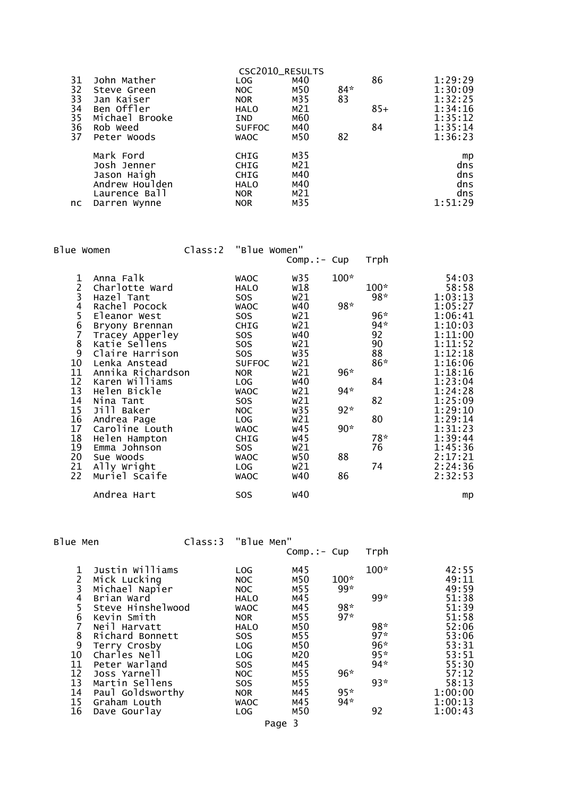| 31<br>32<br>33<br>34<br>35<br>36<br>37 | John Mather<br>Steve Green<br>Jan Kaiser<br>Ben Offler<br>Michael Brooke<br>Rob Weed<br>Peter Woods | CSC2010_RESULTS<br><b>LOG</b><br>NOC<br><b>NOR</b><br><b>HALO</b><br><b>IND</b><br><b>SUFFOC</b><br><b>WAOC</b> | M40<br>M50<br>M35<br>M21<br>M60<br>M40<br>M50      | $84*$<br>83<br>82 | 86<br>$85+$<br>84 | 1:29:29<br>1:30:09<br>1:32:25<br>1:34:16<br>1:35:12<br>1:35:14<br>1:36:23 |
|----------------------------------------|-----------------------------------------------------------------------------------------------------|-----------------------------------------------------------------------------------------------------------------|----------------------------------------------------|-------------------|-------------------|---------------------------------------------------------------------------|
| nc.                                    | Mark Ford<br>Josh Jenner<br>Jason Haigh<br>Andrew Houlden<br>Laurence Ball<br>Darren Wynne          | <b>CHIG</b><br><b>CHIG</b><br><b>CHIG</b><br><b>HALO</b><br><b>NOR</b><br><b>NOR</b>                            | M35<br>M <sub>21</sub><br>M40<br>M40<br>M21<br>M35 |                   |                   | mp<br>dns<br>dns<br>dns<br>dns<br>1:51:29                                 |

|                | Blue Women        | Class:2 "Blue Women" |               |             |        |        |         |
|----------------|-------------------|----------------------|---------------|-------------|--------|--------|---------|
|                |                   |                      |               | Comp.:- Cup |        | Trph   |         |
| 1              | Anna Falk         |                      | <b>WAOC</b>   | W35         | $100*$ |        | 54:03   |
| $\overline{c}$ | Charlotte Ward    |                      | HALO          | w18         |        | $100*$ | 58:58   |
|                | Hazel Tant        |                      | SOS           | w21         |        | 98*    | 1:03:13 |
| 3456789        | Rachel Pocock     |                      | <b>WAOC</b>   | <b>w40</b>  | $98*$  |        | 1:05:27 |
|                | Eleanor West      |                      | SOS.          | W21         |        | $96*$  | 1:06:41 |
|                | Bryony Brennan    |                      | CHIG          | w21         |        | $94*$  | 1:10:03 |
|                | Tracey Apperley   |                      | SOS           | <b>W40</b>  |        | 92     | 1:11:00 |
|                | Katie Sellens     |                      | SOS           | w21         |        | 90     | 1:11:52 |
|                | Claire Harrison   |                      | SOS.          | W35         |        | 88     | 1:12:18 |
| 10             | Lenka Anstead     |                      | <b>SUFFOC</b> | w21         |        | 86*    | 1:16:06 |
| 11             | Annika Richardson |                      | <b>NOR</b>    | W21         | $96*$  |        | 1:18:16 |
| 12             | Karen Williams    |                      | LOG           | <b>w40</b>  |        | 84     | 1:23:04 |
| 13             | Helen Bickle      |                      | <b>WAOC</b>   | w21         | $94*$  |        | 1:24:28 |
| 14             | Nina Tant         |                      | SOS           | W21         |        | 82     | 1:25:09 |
| 15             | Jill Baker        |                      | <b>NOC</b>    | W35         | $92*$  |        | 1:29:10 |
| 16             | Andrea Page       |                      | LOG           | W21         |        | 80     | 1:29:14 |
| 17             | Caroline Louth    |                      | <b>WAOC</b>   | w45         | $90*$  |        | 1:31:23 |
| 18             | Helen Hampton     |                      | <b>CHIG</b>   | w45         |        | $78*$  | 1:39:44 |
| 19             | Emma Johnson      |                      | SOS           | W21         |        | 76     | 1:45:36 |
| 20             | Sue Woods         |                      | <b>WAOC</b>   | <b>w50</b>  | 88     |        | 2:17:21 |
| 21             | Ally Wright       |                      | LOG           | W21         |        | 74     | 2:24:36 |
| 22             | Muriel Scaife     |                      | <b>WAOC</b>   | <b>w40</b>  | 86     |        | 2:32:53 |
|                | Andrea Hart       |                      | <b>SOS</b>    | <b>W40</b>  |        |        | mp      |

Blue Men Class:3 "Blue Men"

|                                                                    |                                                                                                                                                                                                                                               |                                                                                                                                                                                          | $Comp.:$ Cup                                                                                   |                                                   | Trph                                                            |                                                                                                                              |
|--------------------------------------------------------------------|-----------------------------------------------------------------------------------------------------------------------------------------------------------------------------------------------------------------------------------------------|------------------------------------------------------------------------------------------------------------------------------------------------------------------------------------------|------------------------------------------------------------------------------------------------|---------------------------------------------------|-----------------------------------------------------------------|------------------------------------------------------------------------------------------------------------------------------|
| 1<br>2<br>3<br>4<br>5<br>6<br>8<br>9<br>10<br>11<br>12<br>13<br>14 | Justin Williams<br>Mick Lucking<br>Michael Napier<br>Brian Ward<br>Steve Hinshelwood<br>Kevin Smith<br>Neil Harvatt<br>Richard Bonnett<br>Terry Crosby<br>Charles Nell<br>Peter Warland<br>Joss Yarnell<br>Martin Sellens<br>Paul Goldsworthy | LOG<br><b>NOC</b><br><b>NOC</b><br><b>HALO</b><br><b>WAOC</b><br><b>NOR</b><br><b>HALO</b><br>SO <sub>S</sub><br>LOG<br>LOG<br>SO <sub>S</sub><br><b>NOC</b><br><b>SOS</b><br><b>NOR</b> | M45<br>M50<br>M55<br>M45<br>M45<br>M55<br>M50<br>M55<br>M50<br>M20<br>M45<br>M55<br>M55<br>M45 | $100*$<br>$99*$<br>$98*$<br>$97*$<br>96*<br>$95*$ | 100*<br>$99*$<br>98*<br>$97*$<br>$96*$<br>$95*$<br>$94*$<br>93* | 42:55<br>49:11<br>49:59<br>51:38<br>51:39<br>51:58<br>52:06<br>53:06<br>53:31<br>53:51<br>55:30<br>57:12<br>58:13<br>1:00:00 |
| 15<br>16                                                           | Graham Louth<br>Dave Gourlay                                                                                                                                                                                                                  | <b>WAOC</b><br>LOG                                                                                                                                                                       | M45<br>M50                                                                                     | $94*$                                             | 92                                                              | 1:00:13<br>1:00:43                                                                                                           |
|                                                                    |                                                                                                                                                                                                                                               |                                                                                                                                                                                          | Page 3                                                                                         |                                                   |                                                                 |                                                                                                                              |
|                                                                    |                                                                                                                                                                                                                                               |                                                                                                                                                                                          |                                                                                                |                                                   |                                                                 |                                                                                                                              |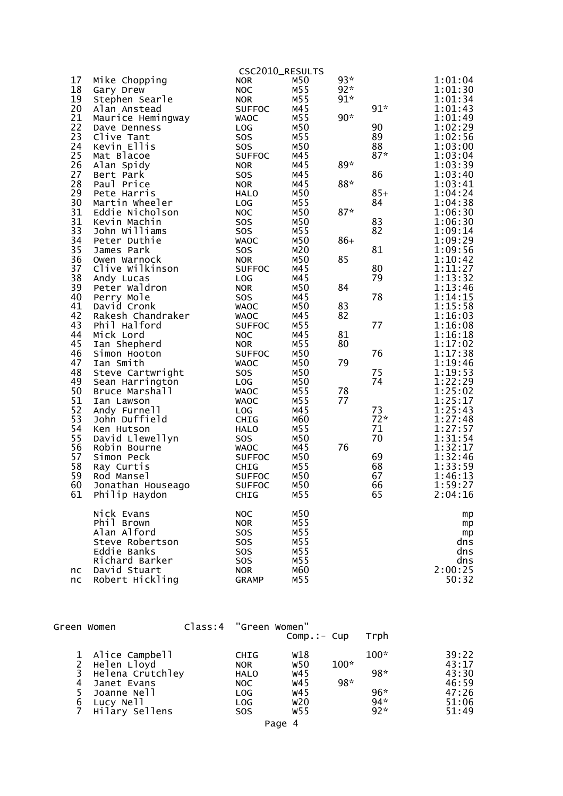|          |                                   |                              | CSC2010_RESULTS |                |             |                    |
|----------|-----------------------------------|------------------------------|-----------------|----------------|-------------|--------------------|
| 17<br>18 | Mike Chopping<br>Gary Drew        | <b>NOR</b><br><b>NOC</b>     | M50<br>M55      | $93*$<br>$92*$ |             | 1:01:04<br>1:01:30 |
| 19<br>20 | Stephen Searle<br>Alan Anstead    | <b>NOR</b><br><b>SUFFOC</b>  | M55<br>M45      | $91*$          | $91*$       | 1:01:34<br>1:01:43 |
| 21       | Maurice Hemingway                 | <b>WAOC</b>                  | M55             | $90*$          |             | 1:01:49            |
| 22       | Dave Denness                      | LOG                          | M50             |                | 90          | 1:02:29            |
| 23       | Clive Tant                        | SOS                          | M55             |                | 89          | 1:02:56            |
| 24       | Kevin Ellis                       | SOS                          | M50             |                | 88          | 1:03:00            |
| 25       | Mat Blacoe                        | <b>SUFFOC</b>                | M45             |                | $87*$       | 1:03:04            |
| 26       | Alan Spidy                        | <b>NOR</b>                   | M45             | $89*$          |             | 1:03:39            |
| 27       | Bert Park                         | SOS                          | M45             |                | 86          | 1:03:40            |
| 28       | Paul Price                        | <b>NOR</b>                   | M45             | $88*$          |             | 1:03:41            |
| 29       | Pete Harris                       | <b>HALO</b>                  | M50             |                | $85+$       | 1:04:24            |
| 30       | Martin Wheeler                    | LOG                          | M55             |                | 84          | 1:04:38            |
| 31<br>31 | Eddie Nicholson                   | <b>NOC</b>                   | M50<br>M50      | $87*$          | 83          | 1:06:30<br>1:06:30 |
| 33       | Kevin Machin<br>John Williams     | SOS<br><b>SOS</b>            | M55             |                | 82          | 1:09:14            |
| 34       | Peter Duthie                      | <b>WAOC</b>                  | M50             | $86+$          |             | 1:09:29            |
| 35       | James Park                        | <b>SOS</b>                   | M20             |                | 81          | 1:09:56            |
| 36       | Owen Warnock                      | <b>NOR</b>                   | M50             | 85             |             | 1:10:42            |
| 37       | Clive Wilkinson                   | <b>SUFFOC</b>                | M45             |                | 80          | 1:11:27            |
| 38       | Andy Lucas                        | LOG                          | M45             |                | 79          | 1:13:32            |
| 39       | Peter Waldron                     | <b>NOR</b>                   | M50             | 84             |             | 1:13:46            |
| 40       | Perry Mole                        | <b>SOS</b>                   | M45             |                | 78          | 1:14:15            |
| 41       | David Cronk                       | <b>WAOC</b>                  | M50             | 83             |             | 1:15:58            |
| 42<br>43 | Rakesh Chandraker<br>Phil Halford | <b>WAOC</b><br><b>SUFFOC</b> | M45<br>M55      | 82             | 77          | 1:16:03<br>1:16:08 |
| 44       | Mick Lord                         | <b>NOC</b>                   | M45             | 81             |             | 1:16:18            |
| 45       | Ian Shepherd                      | <b>NOR</b>                   | M55             | 80             |             | 1:17:02            |
| 46       | Simon Hooton                      | <b>SUFFOC</b>                | M50             |                | 76          | 1:17:38            |
| 47       | Ian Smith                         | <b>WAOC</b>                  | M50             | 79             |             | 1:19:46            |
| 48       | Steve Cartwright                  | SOS                          | M50             |                | 75          | 1:19:53            |
| 49       | Sean Harrington                   | <b>LOG</b>                   | M50             |                | 74          | 1:22:29            |
| 50       | Bruce Marshall                    | <b>WAOC</b>                  | M55             | 78             |             | 1:25:02            |
| 51       | Ian Lawson                        | <b>WAOC</b>                  | M55             | 77             |             | 1:25:17            |
| 52       | Andy Furnell                      | LOG                          | M45             |                | 73          | 1:25:43            |
| 53<br>54 | John Duffield                     | CHIG                         | M60<br>M55      |                | $72*$<br>71 | 1:27:48<br>1:27:57 |
| 55       | Ken Hutson<br>David Llewellyn     | <b>HALO</b><br>SOS           | M50             |                | 70          | 1:31:54            |
| 56       | Robin Bourne                      | <b>WAOC</b>                  | M45             | 76             |             | 1:32:17            |
| 57       | Simon Peck                        | <b>SUFFOC</b>                | M50             |                | 69          | 1:32:46            |
| 58       | Ray Curtis                        | CHIG                         | M55             |                | 68          | 1:33:59            |
| 59       | Rod Mansel                        | <b>SUFFOC</b>                | M50             |                | 67          | 1:46:13            |
| 60       | Jonathan Houseago                 | <b>SUFFOC</b>                | M50             |                | 66          | 1:59:27            |
| 61       | Philip Haydon                     | <b>CHIG</b>                  | M55             |                | 65          | 2:04:16            |
|          | Nick Evans                        | <b>NOC</b>                   | M50             |                |             | mp                 |
|          | Phil Brown                        | <b>NOR</b>                   | M55             |                |             | mp                 |
|          | Alan Alford                       | <b>SOS</b>                   | M55             |                |             | mp                 |
|          | Steve Robertson<br>Eddie Banks    | SOS<br><b>SOS</b>            | M55<br>M55      |                |             | dns<br>dns         |
|          | Richard Barker                    | SOS                          | M55             |                |             | dns                |
| nc       | David Stuart                      | <b>NOR</b>                   | M60             |                |             | 2:00:25            |
| nc       | Robert Hickling                   | <b>GRAMP</b>                 | M55             |                |             | 50:32              |
|          |                                   |                              |                 |                |             |                    |

|   | Green Women      | Class:4 | "Green Women" |              |        |        |       |
|---|------------------|---------|---------------|--------------|--------|--------|-------|
|   |                  |         |               | $Comp.:-Cup$ |        | Trph   |       |
|   | 1 Alice Campbell |         | <b>CHIG</b>   | W18          |        | $100*$ | 39:22 |
|   | Helen Lloyd      |         | <b>NOR</b>    | W50          | $100*$ |        | 43:17 |
| 3 | Helena Crutchley |         | <b>HALO</b>   | w45          |        | 98*    | 43:30 |
| 4 | Janet Evans      |         | NOC.          | <b>W45</b>   | $98*$  |        | 46:59 |
|   | Joanne Nell      |         | LOG           | w45          |        | $96*$  | 47:26 |
| 6 | Lucy Nell        |         | LOG           | w20          |        | $94*$  | 51:06 |
|   | Hilary Sellens   |         | <b>SOS</b>    | W55          |        | $92*$  | 51:49 |
|   |                  |         |               |              |        |        |       |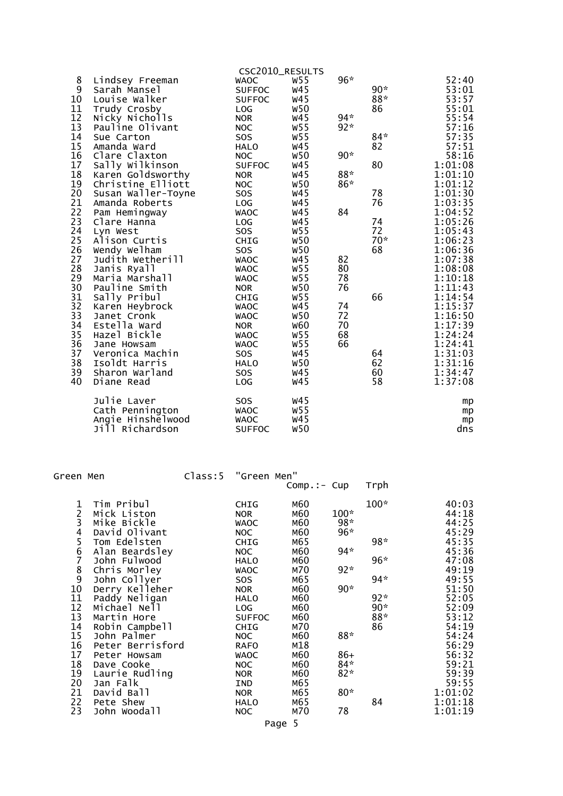|    |                    |               | CSC2010_RESULTS |       |       |         |
|----|--------------------|---------------|-----------------|-------|-------|---------|
| 8  | Lindsey Freeman    | <b>WAOC</b>   | W55             | $96*$ |       | 52:40   |
| 9  | Sarah Mansel       | <b>SUFFOC</b> | w45             |       | $90*$ | 53:01   |
| 10 | Louise Walker      | <b>SUFFOC</b> | W <sub>45</sub> |       | $88*$ | 53:57   |
| 11 | Trudy Crosby       | LOG           | <b>W50</b>      |       | 86    | 55:01   |
| 12 | Nicky Nicholls     | <b>NOR</b>    | <b>W45</b>      | $94*$ |       | 55:54   |
| 13 | Pauline Olivant    | <b>NOC</b>    | <b>W55</b>      | $92*$ |       | 57:16   |
| 14 | Sue Carton         | SOS           | <b>W55</b>      |       | $84*$ | 57:35   |
| 15 | Amanda Ward        | <b>HALO</b>   | W <sub>45</sub> |       | 82    | 57:51   |
| 16 | Clare Claxton      | <b>NOC</b>    | <b>W50</b>      | $90*$ |       | 58:16   |
| 17 | Sally Wilkinson    | <b>SUFFOC</b> | W <sub>45</sub> |       | 80    | 1:01:08 |
| 18 | Karen Goldsworthy  | <b>NOR</b>    | W <sub>45</sub> | $88*$ |       | 1:01:10 |
| 19 | Christine Elliott  | <b>NOC</b>    | <b>W50</b>      | $86*$ |       | 1:01:12 |
| 20 | Susan Waller-Toyne | SOS           | W <sub>45</sub> |       | 78    | 1:01:30 |
| 21 | Amanda Roberts     | LOG           | W <sub>45</sub> |       | 76    | 1:03:35 |
| 22 | Pam Hemingway      | <b>WAOC</b>   | W <sub>45</sub> | 84    |       | 1:04:52 |
| 23 | Clare Hanna        | LOG           | W <sub>45</sub> |       | 74    | 1:05:26 |
| 24 | Lyn West           | <b>SOS</b>    | <b>W55</b>      |       | 72    | 1:05:43 |
| 25 | Alison Curtis      | CHIG          | <b>W50</b>      |       | $70*$ | 1:06:23 |
| 26 | Wendy Welham       | SOS           | <b>W50</b>      |       | 68    | 1:06:36 |
| 27 | Judith Wetherill   | <b>WAOC</b>   | <b>W45</b>      | 82    |       | 1:07:38 |
| 28 | Janis Ryall        | <b>WAOC</b>   | <b>W55</b>      | 80    |       | 1:08:08 |
| 29 | Maria Marshall     | <b>WAOC</b>   | <b>W55</b>      | 78    |       | 1:10:18 |
| 30 | Pauline Smith      | <b>NOR</b>    | <b>W50</b>      | 76    |       | 1:11:43 |
| 31 | Sally Pribul       | <b>CHIG</b>   | <b>W55</b>      |       | 66    | 1:14:54 |
| 32 | Karen Heybrock     | <b>WAOC</b>   | W <sub>45</sub> | 74    |       | 1:15:37 |
| 33 | Janet Cronk        | <b>WAOC</b>   | <b>W50</b>      | 72    |       | 1:16:50 |
| 34 | Estella Ward       | <b>NOR</b>    | <b>W60</b>      | 70    |       | 1:17:39 |
| 35 | Hazel Bickle       | <b>WAOC</b>   | W <sub>55</sub> | 68    |       | 1:24:24 |
| 36 | Jane Howsam        | <b>WAOC</b>   | W55             | 66    |       | 1:24:41 |
| 37 | Veronica Machin    | <b>SOS</b>    | W <sub>45</sub> |       | 64    | 1:31:03 |
| 38 | Isoldt Harris      | <b>HALO</b>   | <b>W50</b>      |       | 62    | 1:31:16 |
| 39 | Sharon Warland     | SOS           | <b>W45</b>      |       | 60    | 1:34:47 |
| 40 | Diane Read         | LOG           | <b>W45</b>      |       | 58    | 1:37:08 |
|    |                    |               |                 |       |       |         |
|    | Julie Laver        | SOS           | W45             |       |       | mp      |
|    | Cath Pennington    | <b>WAOC</b>   | <b>W55</b>      |       |       | mp      |
|    | Angie Hinshelwood  | <b>WAOC</b>   | W <sub>45</sub> |       |       | mp      |
|    | Jill Richardson    | <b>SUFFOC</b> | <b>W50</b>      |       |       | dns     |

| Green Men                             |                  | Class:5 | "Green Men"   |               |        |        |         |
|---------------------------------------|------------------|---------|---------------|---------------|--------|--------|---------|
|                                       |                  |         |               | $Comp.:- Cup$ |        | Trph   |         |
| 1                                     | Tim Pribul       |         | CHIG          | M60           |        | $100*$ | 40:03   |
|                                       | Mick Liston      |         | <b>NOR</b>    | M60           | $100*$ |        | 44:18   |
|                                       | Mike Bickle      |         | <b>WAOC</b>   | M60           | 98*    |        | 44:25   |
|                                       | David Olivant    |         | NOC           | M60           | 96*    |        | 45:29   |
| $2^{3}$<br>$4^{5}$                    | Tom Edelsten     |         | <b>CHIG</b>   | M65           |        | 98*    | 45:35   |
| 6                                     | Alan Beardsley   |         | <b>NOC</b>    | M60           | $94*$  |        | 45:36   |
| 7                                     | John Fulwood     |         | HALO          | M60           |        | $96*$  | 47:08   |
| $\begin{array}{c} 8 \\ 9 \end{array}$ | Chris Morley     |         | <b>WAOC</b>   | M70           | $92*$  |        | 49:19   |
|                                       | John Collyer     |         | <b>SOS</b>    | M65           |        | 94*    | 49:55   |
| 10                                    | Derry Kelleher   |         | <b>NOR</b>    | M60           | $90*$  |        | 51:50   |
| 11                                    | Paddy Neligan    |         | <b>HALO</b>   | M60           |        | $92*$  | 52:05   |
| 12                                    | Michael Nell     |         | <b>LOG</b>    | M60           |        | $90*$  | 52:09   |
| 13                                    | Martin Hore      |         | <b>SUFFOC</b> | M60           |        | 88*    | 53:12   |
| 14                                    | Robin Campbell   |         | <b>CHIG</b>   | M70           |        | 86     | 54:19   |
| 15                                    | John Palmer      |         | <b>NOC</b>    | M60           | $88*$  |        | 54:24   |
| 16                                    | Peter Berrisford |         | <b>RAFO</b>   | M18           |        |        | 56:29   |
| 17                                    | Peter Howsam     |         | <b>WAOC</b>   | M60           | $86+$  |        | 56:32   |
| 18                                    | Dave Cooke       |         | NOC           | M60           | $84*$  |        | 59:21   |
| 19                                    | Laurie Rudling   |         | <b>NOR</b>    | M60           | $82*$  |        | 59:39   |
| 20                                    | Jan Falk         |         | IND           | M65           |        |        | 59:55   |
| 21                                    | David Ball       |         | <b>NOR</b>    | M65           | $80*$  |        | 1:01:02 |
| 22                                    | Pete Shew        |         | <b>HALO</b>   | M65           |        | 84     | 1:01:18 |
| 23                                    | John Woodall     |         | <b>NOC</b>    | M70           | 78     |        | 1:01:19 |
|                                       |                  |         |               |               |        |        |         |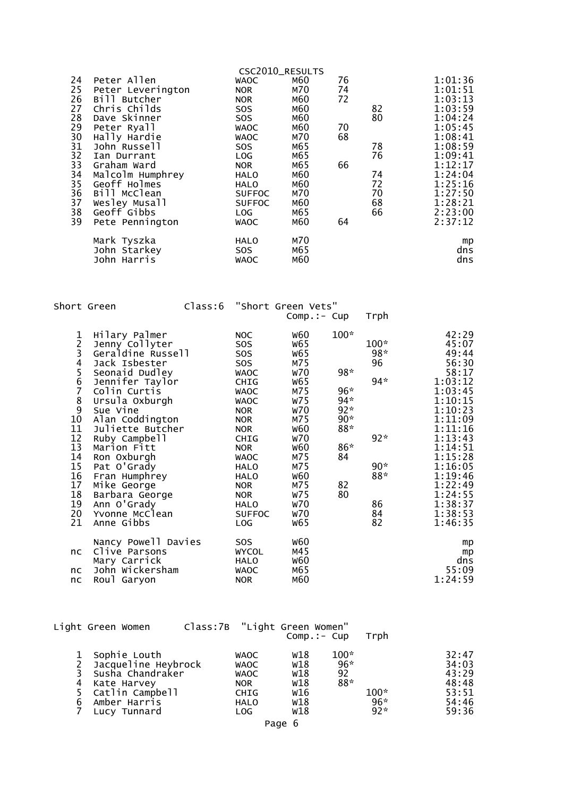|          |                                 | CSC2010_RESULTS           |            |    |    |                    |
|----------|---------------------------------|---------------------------|------------|----|----|--------------------|
| 24       | Peter Allen                     | <b>WAOC</b>               | M60        | 76 |    | 1:01:36            |
| 25       | Peter Leverington               | <b>NOR</b>                | M70        | 74 |    | 1:01:51            |
| 26       | Bill Butcher                    | <b>NOR</b>                | M60        | 72 |    | 1:03:13            |
| 27       | Chris Childs                    | <b>SOS</b>                | M60        |    | 82 | 1:03:59            |
| 28       | Dave Skinner                    | SO <sub>S</sub>           | M60        |    | 80 | 1:04:24            |
| 29       | Peter Ryall                     | <b>WAOC</b>               | M60        | 70 |    | 1:05:45            |
| 30       | Hally Hardie                    | <b>WAOC</b>               | M70        | 68 |    | 1:08:41            |
| 31       | John Russell                    | SOS.                      | M65        |    | 78 | 1:08:59            |
| 32       | Ian Durrant                     | <b>LOG</b>                | M65        |    | 76 | 1:09:41            |
| 33<br>34 | Graham Ward<br>Malcolm Humphrey | <b>NOR</b><br><b>HALO</b> | M65<br>M60 | 66 | 74 | 1:12:17<br>1:24:04 |
| 35       | Geoff Holmes                    | <b>HALO</b>               | M60        |    | 72 | 1:25:16            |
| 36       | Bill McClean                    | <b>SUFFOC</b>             | M70        |    | 70 | 1:27:50            |
| 37       | Wesley Musall                   | <b>SUFFOC</b>             | M60        |    | 68 | 1:28:21            |
| 38       | Geoff <sup>c</sup> Gibbs        | LOG                       | M65        |    | 66 | 2:23:00            |
| 39       | Pete Pennington                 | <b>WAOC</b>               | M60        | 64 |    | 2:37:12            |
|          |                                 |                           |            |    |    |                    |
|          | Mark Tyszka                     | HALO                      | M70        |    |    | mp                 |
|          | John Starkey                    | SOS.                      | M65        |    |    | dns                |
|          | John Harris                     | <b>WAOC</b>               | M60        |    |    | dns                |
|          |                                 |                           |            |    |    |                    |

Short Green Class:6 "Short Green Vets"

|                                                                                   |                                                                                                                                                                                                                                                                                                                                                                |                                                                                                                                                                                                                                                                                     | $Comp.:- Cup$                                                                                                                                                                                                                                     |                                                                                     | Trph                                                                    |                                                                                                                                                                                                                           |
|-----------------------------------------------------------------------------------|----------------------------------------------------------------------------------------------------------------------------------------------------------------------------------------------------------------------------------------------------------------------------------------------------------------------------------------------------------------|-------------------------------------------------------------------------------------------------------------------------------------------------------------------------------------------------------------------------------------------------------------------------------------|---------------------------------------------------------------------------------------------------------------------------------------------------------------------------------------------------------------------------------------------------|-------------------------------------------------------------------------------------|-------------------------------------------------------------------------|---------------------------------------------------------------------------------------------------------------------------------------------------------------------------------------------------------------------------|
| 123456789<br>10<br>11<br>12<br>13<br>14<br>15<br>16<br>17<br>18<br>19<br>20<br>21 | Hilary Palmer<br>Jenny Collyter<br>Geraldine Russell<br>Jack Isbester<br>Seonaid Dudley<br>Jennifer Taylor<br>Colin Curtis<br>Ursula Oxburgh<br>Sue Vine<br>Alan Coddington<br>Juliette Butcher<br>Ruby Campbell<br>Marion Fitt<br>Ron Oxburgh<br>Pat O'Grady<br>Fran Humphrey<br>Mike George<br>Barbara George<br>Ann O'Grady<br>Yvonne McClean<br>Anne Gibbs | NOC<br>SOS<br>SOS.<br><b>SOS</b><br><b>WAOC</b><br><b>CHIG</b><br><b>WAOC</b><br><b>WAOC</b><br><b>NOR</b><br><b>NOR</b><br><b>NOR</b><br><b>CHIG</b><br><b>NOR</b><br><b>WAOC</b><br><b>HALO</b><br><b>HALO</b><br><b>NOR</b><br><b>NOR</b><br><b>HALO</b><br><b>SUFFOC</b><br>LOG | <b>W60</b><br>W65<br><b>W65</b><br>M75<br><b>W70</b><br><b>W65</b><br>M75<br><b>W75</b><br><b>W70</b><br>M75<br><b>W60</b><br><b>W70</b><br><b>W60</b><br>M75<br>M75<br><b>W60</b><br>M75<br><b>W75</b><br><b>W70</b><br><b>W70</b><br><b>W65</b> | $100*$<br>98*<br>$96*$<br>$94*$<br>$92*$<br>$90*$<br>$88*$<br>86*<br>84<br>82<br>80 | $100*$<br>$98*$<br>96<br>$94*$<br>92*<br>$90*$<br>88*<br>86<br>84<br>82 | 42:29<br>45:07<br>49:44<br>56:30<br>58:17<br>1:03:12<br>1:03:45<br>1:10:15<br>1:10:23<br>1:11:09<br>1:11:16<br>1:13:43<br>1:14:51<br>1:15:28<br>1:16:05<br>1:19:46<br>1:22:49<br>1:24:55<br>1:38:37<br>1:38:53<br>1:46:35 |
| nc<br>nc<br>nc                                                                    | Nancy Powell Davies<br>Clive Parsons<br>Mary Carrick<br>John Wickersham<br>Roul Garyon                                                                                                                                                                                                                                                                         | SOS.<br><b>WYCOL</b><br><b>HALO</b><br><b>WAOC</b><br><b>NOR</b>                                                                                                                                                                                                                    | <b>W60</b><br>M45<br><b>W60</b><br>M65<br>M60                                                                                                                                                                                                     |                                                                                     |                                                                         | mp<br>mp<br>dns<br>55:09<br>1:24:59                                                                                                                                                                                       |

|        | Light Green Women                                                                                                           | Class:7B "Light Green Women" |                                                                                        |                                               |                            |                          |                                                             |
|--------|-----------------------------------------------------------------------------------------------------------------------------|------------------------------|----------------------------------------------------------------------------------------|-----------------------------------------------|----------------------------|--------------------------|-------------------------------------------------------------|
|        |                                                                                                                             |                              |                                                                                        | $Comp.:-Cup$                                  |                            | Trph                     |                                                             |
| 4<br>6 | Sophie Louth<br>Jacqueline Heybrock<br>Susha Chandraker<br>Kate Harvey<br>5 Catlin Campbell<br>Amber Harris<br>Lucy Tunnard |                              | WAOC<br><b>WAOC</b><br><b>WAOC</b><br><b>NOR</b><br><b>CHIG</b><br><b>HALO</b><br>LOG. | W18<br>w18<br>W18<br>W18<br>W16<br>W18<br>W18 | $100*$<br>96*<br>92<br>88* | $100*$<br>$96*$<br>$92*$ | 32:47<br>34:03<br>43:29<br>48:48<br>53:51<br>54:46<br>59:36 |
|        |                                                                                                                             |                              |                                                                                        |                                               |                            |                          |                                                             |

Page 6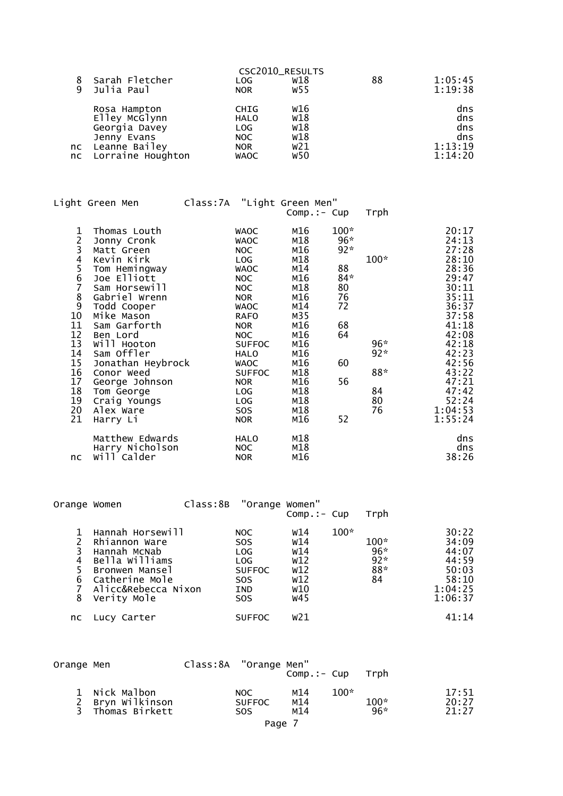| 9 | Sarah Fletcher<br>Julia Paul                                                                              | LOG.<br>NOR.                                                            | CSC2010_RESULTS<br>w18<br>W55          | 88 | 1:05:45<br>1:19:38                             |
|---|-----------------------------------------------------------------------------------------------------------|-------------------------------------------------------------------------|----------------------------------------|----|------------------------------------------------|
|   | Rosa Hampton<br>Elley McGlynn<br>Georgia Davey<br>Jenny Evans<br>nc Leanne Bailey<br>nc Lorraine Houghton | <b>CHIG</b><br><b>HALO</b><br>LOG.<br>NOC.<br><b>NOR</b><br><b>WAOC</b> | W16<br>W18<br>W18<br>W18<br>w21<br>W50 |    | dns<br>dns<br>dns<br>dns<br>1:13:19<br>1:14:20 |

|                                                                                                                                 | Light Green Men                                                                                                                                                                                                                                                                                                             | Class: 7A "Light Green Men" |                                                                                                                                                                                                                                                                                   | $Comp.:- Cup$                                                                                                                                   |                                                                                         | Trph                                              |                                                                                                                                                                                               |
|---------------------------------------------------------------------------------------------------------------------------------|-----------------------------------------------------------------------------------------------------------------------------------------------------------------------------------------------------------------------------------------------------------------------------------------------------------------------------|-----------------------------|-----------------------------------------------------------------------------------------------------------------------------------------------------------------------------------------------------------------------------------------------------------------------------------|-------------------------------------------------------------------------------------------------------------------------------------------------|-----------------------------------------------------------------------------------------|---------------------------------------------------|-----------------------------------------------------------------------------------------------------------------------------------------------------------------------------------------------|
| 1<br>$\frac{2}{3}$<br>4<br>$\frac{5}{6}$<br>7<br>8<br>9<br>10<br>11<br>12<br>13<br>14<br>15<br>16<br>17<br>18<br>19<br>20<br>21 | Thomas Louth<br>Jonny Cronk<br>Matt Green<br>Kevin Kirk<br>Tom Hemingway<br>Joe Elliott<br>Sam Horsewill<br>Gabriel Wrenn<br>Todd Cooper<br>Mike Mason<br>Sam Garforth<br>Ben Lord<br>Will Hooton<br>Sam Offler<br>Jonathan Heybrock<br>Conor Weed<br>George Johnson<br>Tom George<br>Craig Youngs<br>Alex Ware<br>Harry Li |                             | <b>WAOC</b><br><b>WAOC</b><br>NOC<br><b>LOG</b><br><b>WAOC</b><br>NOC<br><b>NOC</b><br><b>NOR</b><br><b>WAOC</b><br><b>RAFO</b><br><b>NOR</b><br>NOC<br><b>SUFFOC</b><br><b>HALO</b><br><b>WAOC</b><br><b>SUFFOC</b><br><b>NOR</b><br>LOG<br>LOG<br>SO <sub>S</sub><br><b>NOR</b> | M16<br>M18<br>M16<br>M18<br>M14<br>M16<br>M18<br>M16<br>M14<br>M35<br>M16<br>M16<br>M16<br>M16<br>M16<br>M18<br>M16<br>M18<br>M18<br>M18<br>M16 | $100*$<br>$96*$<br>$92*$<br>88<br>$84*$<br>80<br>76<br>72<br>68<br>64<br>60<br>56<br>52 | $100*$<br>$96*$<br>$92*$<br>88*<br>84<br>80<br>76 | 20:17<br>24:13<br>27:28<br>28:10<br>28:36<br>29:47<br>30:11<br>35:11<br>36:37<br>37:58<br>41:18<br>42:08<br>42:18<br>42:23<br>42:56<br>43:22<br>47:21<br>47:42<br>52:24<br>1:04:53<br>1:55:24 |
| nc                                                                                                                              | Matthew Edwards<br>Harry Nicholson<br>will Calder                                                                                                                                                                                                                                                                           |                             | <b>HALO</b><br>NOC.<br><b>NOR</b>                                                                                                                                                                                                                                                 | M18<br>M18<br>M16                                                                                                                               |                                                                                         |                                                   | dns<br>dns<br>38:26                                                                                                                                                                           |

| Orange Women     |                                                                                                                                               | Class:8B | "Orange Women"                                                                                    | $Comp.:-Cup$                                         |        | Trph                                |                                                                          |
|------------------|-----------------------------------------------------------------------------------------------------------------------------------------------|----------|---------------------------------------------------------------------------------------------------|------------------------------------------------------|--------|-------------------------------------|--------------------------------------------------------------------------|
| 3<br>4<br>6<br>8 | Hannah Horsewill<br>Rhiannon Ware<br>Hannah McNab<br>Bella Williams<br>Bronwen Mansel<br>Catherine Mole<br>Alicc&Rebecca Nixon<br>Verity Mole |          | NOC.<br>SO <sub>S</sub><br>LOG<br>LOG.<br><b>SUFFOC</b><br><b>SOS</b><br><b>IND</b><br><b>SOS</b> | w14<br>w14<br>w14<br>W12<br>W12<br>W12<br>w10<br>W45 | $100*$ | $100*$<br>96*<br>$92*$<br>88*<br>84 | 30:22<br>34:09<br>44:07<br>44:59<br>50:03<br>58:10<br>1:04:25<br>1:06:37 |
| nc.              | Lucy Carter                                                                                                                                   |          | <b>SUFFOC</b>                                                                                     | w21                                                  |        |                                     | 41:14                                                                    |

| Orange Men |                                                     | Class:8A "Orange Men" |                                     | $Comp.:-Cup$      |        | Trph            |                         |
|------------|-----------------------------------------------------|-----------------------|-------------------------------------|-------------------|--------|-----------------|-------------------------|
| २          | 1 Nick Malbon<br>2 Bryn Wilkinson<br>Thomas Birkett |                       | NOC.<br><b>SUFFOC</b><br><b>SOS</b> | м14<br>M14<br>м14 | $100*$ | $100*$<br>$96*$ | 17:51<br>20:27<br>21:27 |
|            |                                                     |                       | Page 7                              |                   |        |                 |                         |